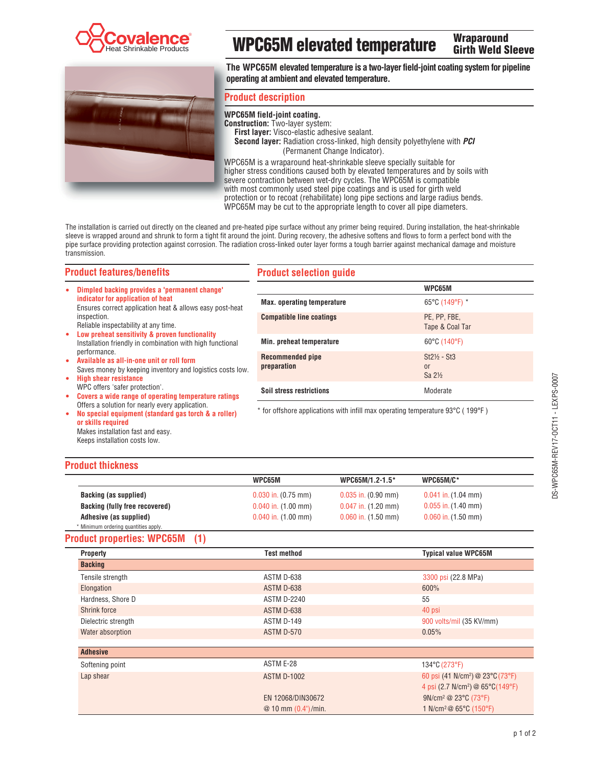



# **WPC65M elevated temperature**

**Wraparound Girth Weld Sleeve** 

**The WPC65M elevated temperature is a two-layer field-joint coating system for pipeline operating at ambient and elevated temperature.** 

### **Product description**

**WPC65M field-joint coating. Construction:** Two-layer system: **First layer:** Visco-elastic adhesive sealant. **Second layer:** Radiation cross-linked, high density polyethylene with *PCI* (Permanent Change Indicator). WPC65M is a wraparound heat-shrinkable sleeve specially suitable for

higher stress conditions caused both by elevated temperatures and by soils with severe contraction between wet-dry cycles. The WPC65M is compatible with most commonly used steel pipe coatings and is used for girth weld protection or to recoat (rehabilitate) long pipe sections and large radius bends. WPC65M may be cut to the appropriate length to cover all pipe diameters.

The installation is carried out directly on the cleaned and pre-heated pipe surface without any primer being required. During installation, the heat-shrinkable sleeve is wrapped around and shrunk to form a tight fit around the joint. During recovery, the adhesive softens and flows to form a perfect bond with the pipe surface providing protection against corrosion. The radiation cross-linked outer layer forms a tough barrier against mechanical damage and moisture transmission.

### **Product features/benefits**

### **Product selection guide**

| ۰      | Dimpled backing provides a 'permanent change'                                                                                                                                                                                         |                                                                                | WPC65M                                   |  |
|--------|---------------------------------------------------------------------------------------------------------------------------------------------------------------------------------------------------------------------------------------|--------------------------------------------------------------------------------|------------------------------------------|--|
|        | indicator for application of heat<br>Ensures correct application heat & allows easy post-heat                                                                                                                                         | <b>Max.</b> operating temperature                                              | 65°C (149°F) *                           |  |
|        | inspection.<br>Reliable inspectability at any time.                                                                                                                                                                                   | <b>Compatible line coatings</b>                                                | PE, PP, FBE,<br>Tape & Coal Tar          |  |
| ٠      | Low preheat sensitivity & proven functionality<br>Installation friendly in combination with high functional<br>performance.<br>Available as all-in-one unit or roll form<br>Saves money by keeping inventory and logistics costs low. | Min. preheat temperature                                                       | 60°C (140°F)                             |  |
| ٠      |                                                                                                                                                                                                                                       | <b>Recommended pipe</b><br>preparation                                         | $St2\% - St3$<br>or<br>Sa $2\frac{1}{2}$ |  |
| ۰<br>۰ | <b>High shear resistance</b><br>WPC offers 'safer protection'.<br>Covers a wide range of operating temperature ratings                                                                                                                | <b>Soil stress restrictions</b>                                                | Moderate                                 |  |
|        | Offers a solution for nearly every application.<br>No engoial oquinment (standard gas torch 8, a roller)                                                                                                                              | * for offshore applications with infill max operating temperature 93°C (199°F) |                                          |  |

 **No special equipment (standard gas torch & a roller) or skills required** Makes installation fast and easy. Keeps installation costs low.

\* for offshore applications with infill max operating temperature 93°C ( 199°F )

## **Product thickness**

|                                      | WPC65M                  | WPC65M/1.2-1.5*         | <b>WPC65M/C*</b>        |
|--------------------------------------|-------------------------|-------------------------|-------------------------|
| Backing (as supplied)                | $0.030$ in. $(0.75$ mm) | $0.035$ in. $(0.90$ mm) | $0.041$ in. $(1.04$ mm) |
| Backing (fully free recovered)       | $0.040$ in. $(1.00$ mm) | $0.047$ in. $(1.20$ mm) | $0.055$ in. $(1.40$ mm) |
| Adhesive (as supplied)               | $0.040$ in. $(1.00$ mm) | $0.060$ in. $(1.50$ mm) | $0.060$ in. $(1.50$ mm) |
| * Minimum ordering quantities apply. |                         |                         |                         |

# **Product properties: WPC65M (1)**

| <b>Property</b>     | <b>Test method</b>      | <b>Typical value WPC65M</b>                  |
|---------------------|-------------------------|----------------------------------------------|
| <b>Backing</b>      |                         |                                              |
| Tensile strength    | ASTM D-638              | 3300 psi (22.8 MPa)                          |
| Elongation          | ASTM D-638              | 600%                                         |
| Hardness, Shore D   | <b>ASTM D-2240</b>      | 55                                           |
| Shrink force        | ASTM D-638              | 40 psi                                       |
| Dielectric strength | ASTM D-149              | 900 volts/mil (35 KV/mm)                     |
| Water absorption    | ASTM D-570              | 0.05%                                        |
|                     |                         |                                              |
| <b>Adhesive</b>     |                         |                                              |
| Softening point     | ASTM E-28               | $134^{\circ}$ C (273 $^{\circ}$ F)           |
| Lap shear           | <b>ASTM D-1002</b>      | 60 psi (41 N/cm <sup>2</sup> ) @ 23°C (73°F) |
|                     |                         | 4 psi (2.7 N/cm <sup>2</sup> ) @ 65°C(149°F) |
|                     | EN 12068/DIN30672       | 9N/cm <sup>2</sup> @ 23°C (73°F)             |
|                     | $@10$ mm $(0.4")$ /min. | 1 N/cm <sup>2</sup> @ 65°C (150°F)           |